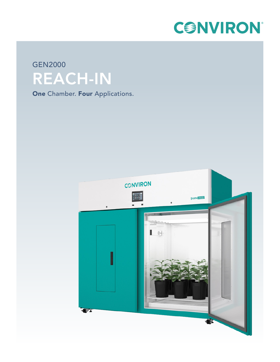

# GEN2000 REACH-IN

**One Chamber. Four Applications.**